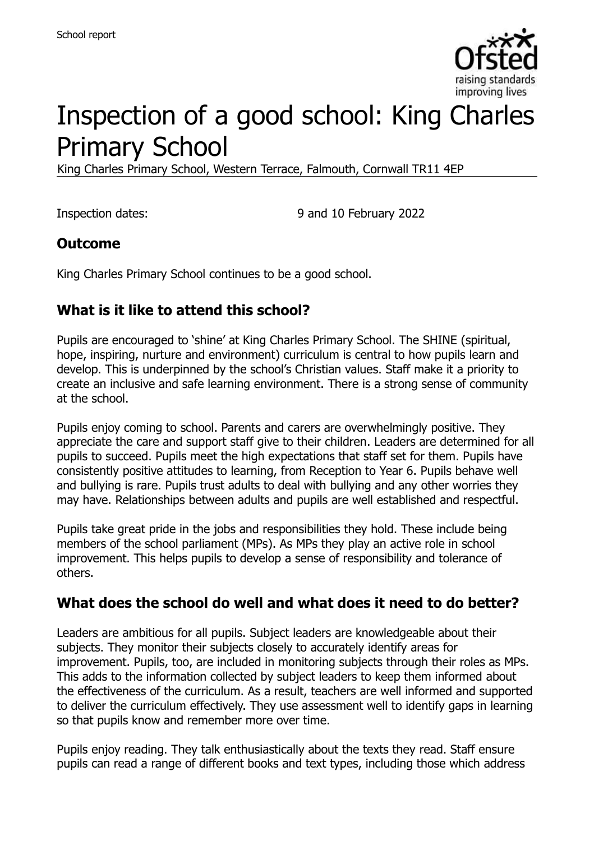

# Inspection of a good school: King Charles Primary School

King Charles Primary School, Western Terrace, Falmouth, Cornwall TR11 4EP

Inspection dates: 9 and 10 February 2022

#### **Outcome**

King Charles Primary School continues to be a good school.

#### **What is it like to attend this school?**

Pupils are encouraged to 'shine' at King Charles Primary School. The SHINE (spiritual, hope, inspiring, nurture and environment) curriculum is central to how pupils learn and develop. This is underpinned by the school's Christian values. Staff make it a priority to create an inclusive and safe learning environment. There is a strong sense of community at the school.

Pupils enjoy coming to school. Parents and carers are overwhelmingly positive. They appreciate the care and support staff give to their children. Leaders are determined for all pupils to succeed. Pupils meet the high expectations that staff set for them. Pupils have consistently positive attitudes to learning, from Reception to Year 6. Pupils behave well and bullying is rare. Pupils trust adults to deal with bullying and any other worries they may have. Relationships between adults and pupils are well established and respectful.

Pupils take great pride in the jobs and responsibilities they hold. These include being members of the school parliament (MPs). As MPs they play an active role in school improvement. This helps pupils to develop a sense of responsibility and tolerance of others.

#### **What does the school do well and what does it need to do better?**

Leaders are ambitious for all pupils. Subject leaders are knowledgeable about their subjects. They monitor their subjects closely to accurately identify areas for improvement. Pupils, too, are included in monitoring subjects through their roles as MPs. This adds to the information collected by subject leaders to keep them informed about the effectiveness of the curriculum. As a result, teachers are well informed and supported to deliver the curriculum effectively. They use assessment well to identify gaps in learning so that pupils know and remember more over time.

Pupils enjoy reading. They talk enthusiastically about the texts they read. Staff ensure pupils can read a range of different books and text types, including those which address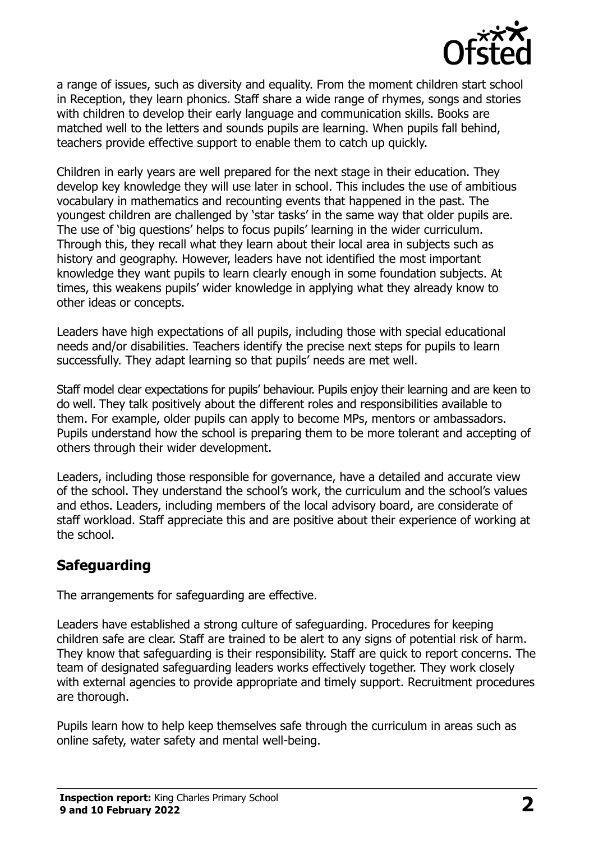

a range of issues, such as diversity and equality. From the moment children start school in Reception, they learn phonics. Staff share a wide range of rhymes, songs and stories with children to develop their early language and communication skills. Books are matched well to the letters and sounds pupils are learning. When pupils fall behind, teachers provide effective support to enable them to catch up quickly.

Children in early years are well prepared for the next stage in their education. They develop key knowledge they will use later in school. This includes the use of ambitious vocabulary in mathematics and recounting events that happened in the past. The youngest children are challenged by 'star tasks' in the same way that older pupils are. The use of 'big questions' helps to focus pupils' learning in the wider curriculum. Through this, they recall what they learn about their local area in subjects such as history and geography. However, leaders have not identified the most important knowledge they want pupils to learn clearly enough in some foundation subjects. At times, this weakens pupils' wider knowledge in applying what they already know to other ideas or concepts.

Leaders have high expectations of all pupils, including those with special educational needs and/or disabilities. Teachers identify the precise next steps for pupils to learn successfully. They adapt learning so that pupils' needs are met well.

Staff model clear expectations for pupils' behaviour. Pupils enjoy their learning and are keen to do well. They talk positively about the different roles and responsibilities available to them. For example, older pupils can apply to become MPs, mentors or ambassadors. Pupils understand how the school is preparing them to be more tolerant and accepting of others through their wider development.

Leaders, including those responsible for governance, have a detailed and accurate view of the school. They understand the school's work, the curriculum and the school's values and ethos. Leaders, including members of the local advisory board, are considerate of staff workload. Staff appreciate this and are positive about their experience of working at the school.

## **Safeguarding**

The arrangements for safeguarding are effective.

Leaders have established a strong culture of safeguarding. Procedures for keeping children safe are clear. Staff are trained to be alert to any signs of potential risk of harm. They know that safeguarding is their responsibility. Staff are quick to report concerns. The team of designated safeguarding leaders works effectively together. They work closely with external agencies to provide appropriate and timely support. Recruitment procedures are thorough.

Pupils learn how to help keep themselves safe through the curriculum in areas such as online safety, water safety and mental well-being.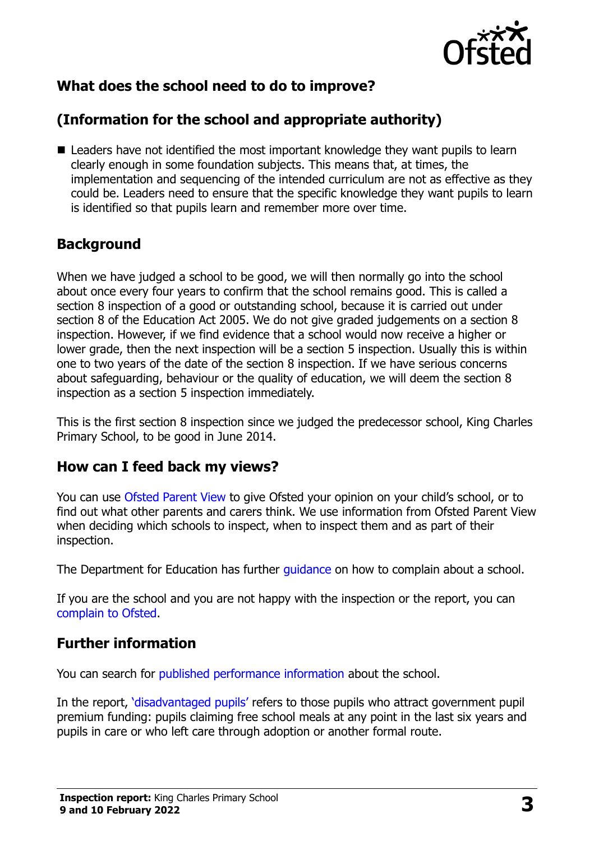

# **What does the school need to do to improve?**

# **(Information for the school and appropriate authority)**

■ Leaders have not identified the most important knowledge they want pupils to learn clearly enough in some foundation subjects. This means that, at times, the implementation and sequencing of the intended curriculum are not as effective as they could be. Leaders need to ensure that the specific knowledge they want pupils to learn is identified so that pupils learn and remember more over time.

## **Background**

When we have judged a school to be good, we will then normally go into the school about once every four years to confirm that the school remains good. This is called a section 8 inspection of a good or outstanding school, because it is carried out under section 8 of the Education Act 2005. We do not give graded judgements on a section 8 inspection. However, if we find evidence that a school would now receive a higher or lower grade, then the next inspection will be a section 5 inspection. Usually this is within one to two years of the date of the section 8 inspection. If we have serious concerns about safeguarding, behaviour or the quality of education, we will deem the section 8 inspection as a section 5 inspection immediately.

This is the first section 8 inspection since we judged the predecessor school, King Charles Primary School, to be good in June 2014.

#### **How can I feed back my views?**

You can use [Ofsted Parent View](https://parentview.ofsted.gov.uk/) to give Ofsted your opinion on your child's school, or to find out what other parents and carers think. We use information from Ofsted Parent View when deciding which schools to inspect, when to inspect them and as part of their inspection.

The Department for Education has further quidance on how to complain about a school.

If you are the school and you are not happy with the inspection or the report, you can [complain to Ofsted.](https://www.gov.uk/complain-ofsted-report)

#### **Further information**

You can search for [published performance information](http://www.compare-school-performance.service.gov.uk/) about the school.

In the report, '[disadvantaged pupils](http://www.gov.uk/guidance/pupil-premium-information-for-schools-and-alternative-provision-settings)' refers to those pupils who attract government pupil premium funding: pupils claiming free school meals at any point in the last six years and pupils in care or who left care through adoption or another formal route.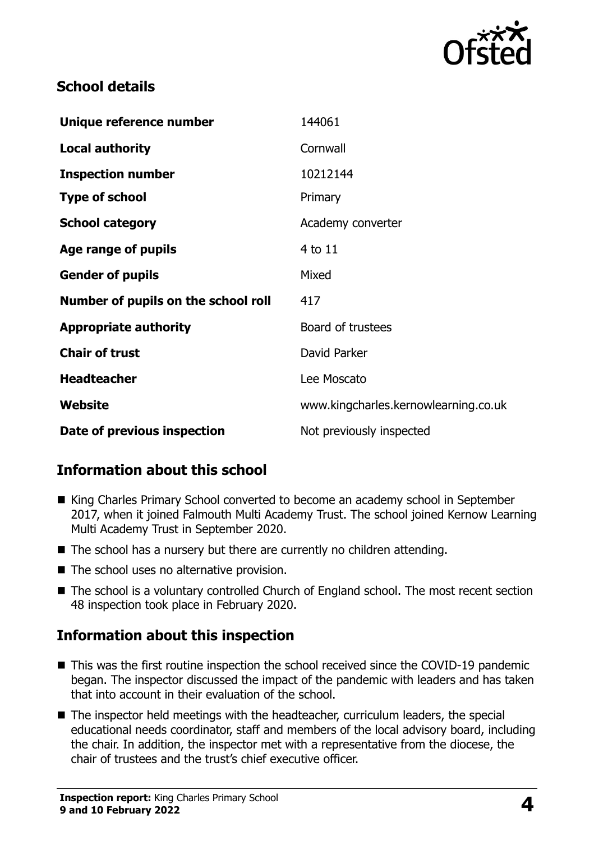

#### **School details**

| Unique reference number             | 144061                               |
|-------------------------------------|--------------------------------------|
| <b>Local authority</b>              | Cornwall                             |
| <b>Inspection number</b>            | 10212144                             |
| <b>Type of school</b>               | Primary                              |
| <b>School category</b>              | Academy converter                    |
| Age range of pupils                 | 4 to 11                              |
| <b>Gender of pupils</b>             | Mixed                                |
| Number of pupils on the school roll | 417                                  |
| <b>Appropriate authority</b>        | Board of trustees                    |
| <b>Chair of trust</b>               | David Parker                         |
| <b>Headteacher</b>                  | Lee Moscato                          |
| Website                             | www.kingcharles.kernowlearning.co.uk |
| Date of previous inspection         | Not previously inspected             |

## **Information about this school**

- King Charles Primary School converted to become an academy school in September 2017, when it joined Falmouth Multi Academy Trust. The school joined Kernow Learning Multi Academy Trust in September 2020.
- The school has a nursery but there are currently no children attending.
- The school uses no alternative provision.
- The school is a voluntary controlled Church of England school. The most recent section 48 inspection took place in February 2020.

## **Information about this inspection**

- This was the first routine inspection the school received since the COVID-19 pandemic began. The inspector discussed the impact of the pandemic with leaders and has taken that into account in their evaluation of the school.
- The inspector held meetings with the headteacher, curriculum leaders, the special educational needs coordinator, staff and members of the local advisory board, including the chair. In addition, the inspector met with a representative from the diocese, the chair of trustees and the trust's chief executive officer.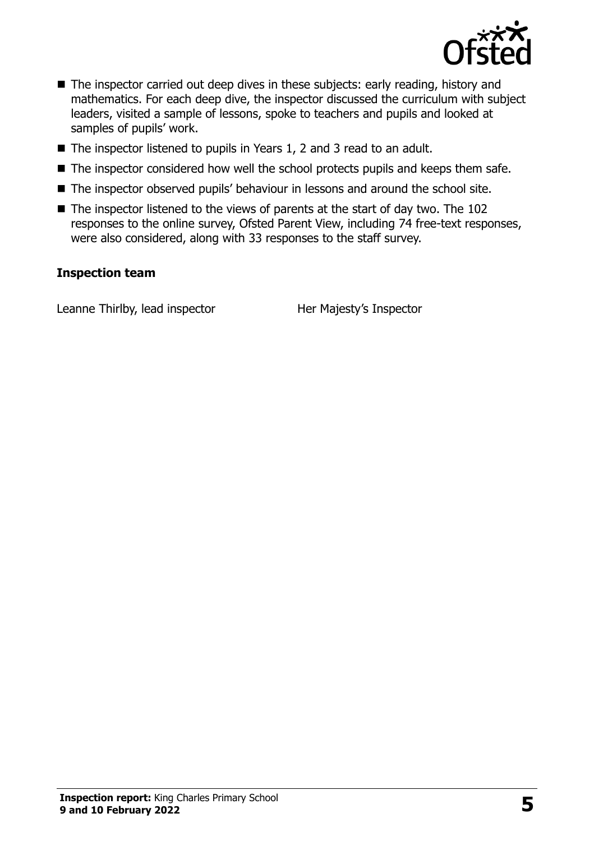

- The inspector carried out deep dives in these subjects: early reading, history and mathematics. For each deep dive, the inspector discussed the curriculum with subject leaders, visited a sample of lessons, spoke to teachers and pupils and looked at samples of pupils' work.
- The inspector listened to pupils in Years 1, 2 and 3 read to an adult.
- The inspector considered how well the school protects pupils and keeps them safe.
- The inspector observed pupils' behaviour in lessons and around the school site.
- The inspector listened to the views of parents at the start of day two. The 102 responses to the online survey, Ofsted Parent View, including 74 free-text responses, were also considered, along with 33 responses to the staff survey.

#### **Inspection team**

Leanne Thirlby, lead inspector Her Majesty's Inspector